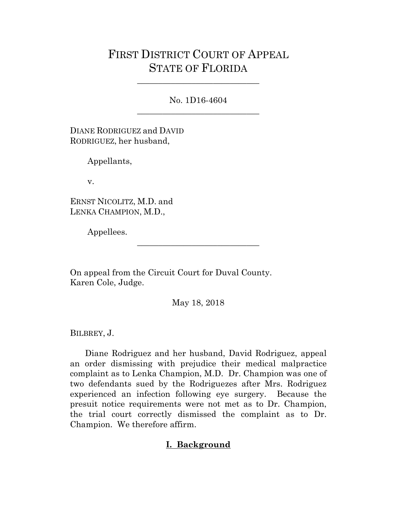## FIRST DISTRICT COURT OF APPEAL STATE OF FLORIDA

No. 1D16-4604 \_\_\_\_\_\_\_\_\_\_\_\_\_\_\_\_\_\_\_\_\_\_\_\_\_\_\_\_\_

\_\_\_\_\_\_\_\_\_\_\_\_\_\_\_\_\_\_\_\_\_\_\_\_\_\_\_\_\_

DIANE RODRIGUEZ and DAVID RODRIGUEZ, her husband,

Appellants,

v.

ERNST NICOLITZ, M.D. and LENKA CHAMPION, M.D.,

Appellees.

On appeal from the Circuit Court for Duval County. Karen Cole, Judge.

May 18, 2018

\_\_\_\_\_\_\_\_\_\_\_\_\_\_\_\_\_\_\_\_\_\_\_\_\_\_\_\_\_

BILBREY, J.

 Diane Rodriguez and her husband, David Rodriguez, appeal an order dismissing with prejudice their medical malpractice complaint as to Lenka Champion, M.D. Dr. Champion was one of two defendants sued by the Rodriguezes after Mrs. Rodriguez experienced an infection following eye surgery. Because the presuit notice requirements were not met as to Dr. Champion, the trial court correctly dismissed the complaint as to Dr. Champion. We therefore affirm.

## **I. Background**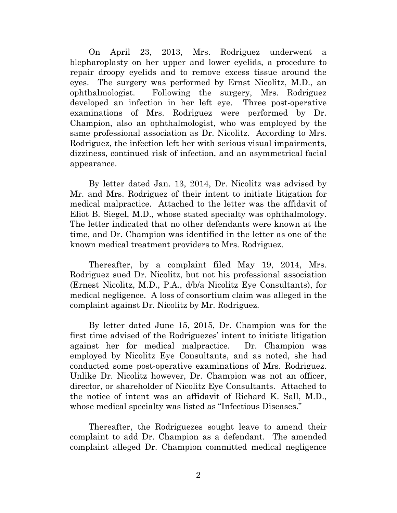On April 23, 2013, Mrs. Rodriguez underwent a blepharoplasty on her upper and lower eyelids, a procedure to repair droopy eyelids and to remove excess tissue around the eyes. The surgery was performed by Ernst Nicolitz, M.D., an ophthalmologist. Following the surgery, Mrs. Rodriguez developed an infection in her left eye. Three post-operative examinations of Mrs. Rodriguez were performed by Dr. Champion, also an ophthalmologist, who was employed by the same professional association as Dr. Nicolitz. According to Mrs. Rodriguez, the infection left her with serious visual impairments, dizziness, continued risk of infection, and an asymmetrical facial appearance.

 By letter dated Jan. 13, 2014, Dr. Nicolitz was advised by Mr. and Mrs. Rodriguez of their intent to initiate litigation for medical malpractice. Attached to the letter was the affidavit of Eliot B. Siegel, M.D., whose stated specialty was ophthalmology. The letter indicated that no other defendants were known at the time, and Dr. Champion was identified in the letter as one of the known medical treatment providers to Mrs. Rodriguez.

 Thereafter, by a complaint filed May 19, 2014, Mrs. Rodriguez sued Dr. Nicolitz, but not his professional association (Ernest Nicolitz, M.D., P.A., d/b/a Nicolitz Eye Consultants), for medical negligence. A loss of consortium claim was alleged in the complaint against Dr. Nicolitz by Mr. Rodriguez.

 By letter dated June 15, 2015, Dr. Champion was for the first time advised of the Rodriguezes' intent to initiate litigation against her for medical malpractice. Dr. Champion was employed by Nicolitz Eye Consultants, and as noted, she had conducted some post-operative examinations of Mrs. Rodriguez. Unlike Dr. Nicolitz however, Dr. Champion was not an officer, director, or shareholder of Nicolitz Eye Consultants. Attached to the notice of intent was an affidavit of Richard K. Sall, M.D., whose medical specialty was listed as "Infectious Diseases."

 Thereafter, the Rodriguezes sought leave to amend their complaint to add Dr. Champion as a defendant. The amended complaint alleged Dr. Champion committed medical negligence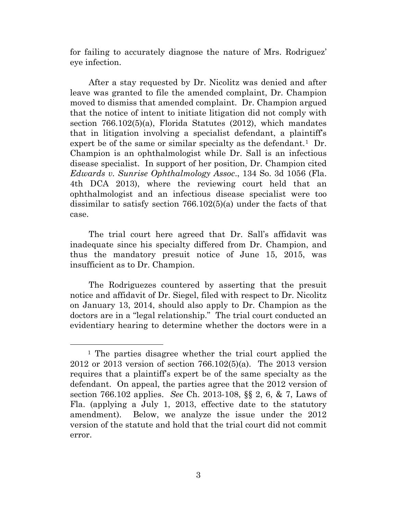for failing to accurately diagnose the nature of Mrs. Rodriguez' eye infection.

 After a stay requested by Dr. Nicolitz was denied and after leave was granted to file the amended complaint, Dr. Champion moved to dismiss that amended complaint. Dr. Champion argued that the notice of intent to initiate litigation did not comply with section 766.102(5)(a), Florida Statutes (2012), which mandates that in litigation involving a specialist defendant, a plaintiff's expert be of the same or similar specialty as the defendant.<sup>1</sup> Dr. Champion is an ophthalmologist while Dr. Sall is an infectious disease specialist. In support of her position, Dr. Champion cited *Edwards v. Sunrise Ophthalmology Assoc*., 134 So. 3d 1056 (Fla. 4th DCA 2013), where the reviewing court held that an ophthalmologist and an infectious disease specialist were too dissimilar to satisfy section 766.102(5)(a) under the facts of that case.

 The trial court here agreed that Dr. Sall's affidavit was inadequate since his specialty differed from Dr. Champion, and thus the mandatory presuit notice of June 15, 2015, was insufficient as to Dr. Champion.

 The Rodriguezes countered by asserting that the presuit notice and affidavit of Dr. Siegel, filed with respect to Dr. Nicolitz on January 13, 2014, should also apply to Dr. Champion as the doctors are in a "legal relationship." The trial court conducted an evidentiary hearing to determine whether the doctors were in a

<span id="page-2-0"></span> <sup>1</sup> The parties disagree whether the trial court applied the 2012 or 2013 version of section 766.102(5)(a). The 2013 version requires that a plaintiff's expert be of the same specialty as the defendant. On appeal, the parties agree that the 2012 version of section 766.102 applies. *See* Ch. 2013-108, §§ 2, 6, & 7, Laws of Fla. (applying a July 1, 2013, effective date to the statutory amendment). Below, we analyze the issue under the 2012 version of the statute and hold that the trial court did not commit error.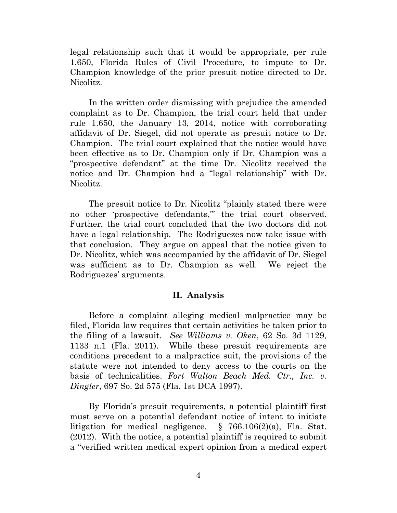legal relationship such that it would be appropriate, per rule 1.650, Florida Rules of Civil Procedure, to impute to Dr. Champion knowledge of the prior presuit notice directed to Dr. Nicolitz.

 In the written order dismissing with prejudice the amended complaint as to Dr. Champion, the trial court held that under rule 1.650, the January 13, 2014, notice with corroborating affidavit of Dr. Siegel, did not operate as presuit notice to Dr. Champion. The trial court explained that the notice would have been effective as to Dr. Champion only if Dr. Champion was a "prospective defendant" at the time Dr. Nicolitz received the notice and Dr. Champion had a "legal relationship" with Dr. Nicolitz.

 The presuit notice to Dr. Nicolitz "plainly stated there were no other 'prospective defendants,'" the trial court observed. Further, the trial court concluded that the two doctors did not have a legal relationship. The Rodriguezes now take issue with that conclusion. They argue on appeal that the notice given to Dr. Nicolitz, which was accompanied by the affidavit of Dr. Siegel was sufficient as to Dr. Champion as well. We reject the Rodriguezes' arguments.

## **II. Analysis**

 Before a complaint alleging medical malpractice may be filed, Florida law requires that certain activities be taken prior to the filing of a lawsuit. *See Williams v. Oken*, 62 So. 3d 1129, 1133 n.1 (Fla. 2011). While these presuit requirements are conditions precedent to a malpractice suit, the provisions of the statute were not intended to deny access to the courts on the basis of technicalities. *Fort Walton Beach Med. Ctr., Inc. v. Dingler*, 697 So. 2d 575 (Fla. 1st DCA 1997).

 By Florida's presuit requirements, a potential plaintiff first must serve on a potential defendant notice of intent to initiate litigation for medical negligence. § 766.106(2)(a), Fla. Stat. (2012). With the notice, a potential plaintiff is required to submit a "verified written medical expert opinion from a medical expert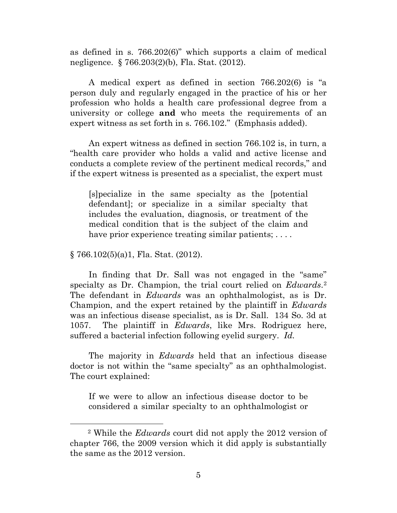as defined in s. 766.202(6)" which supports a claim of medical negligence. § 766.203(2)(b), Fla. Stat. (2012).

 A medical expert as defined in section 766.202(6) is "a person duly and regularly engaged in the practice of his or her profession who holds a health care professional degree from a university or college **and** who meets the requirements of an expert witness as set forth in s. 766.102." (Emphasis added).

 An expert witness as defined in section 766.102 is, in turn, a "health care provider who holds a valid and active license and conducts a complete review of the pertinent medical records," and if the expert witness is presented as a specialist, the expert must

[s]pecialize in the same specialty as the [potential defendant]; or specialize in a similar specialty that includes the evaluation, diagnosis, or treatment of the medical condition that is the subject of the claim and have prior experience treating similar patients; ....

## § 766.102(5)(a)1, Fla. Stat. (2012).

 In finding that Dr. Sall was not engaged in the "same" specialty as Dr. Champion, the trial court relied on *Edwards*.[2](#page-4-0) The defendant in *Edwards* was an ophthalmologist, as is Dr. Champion, and the expert retained by the plaintiff in *Edwards*  was an infectious disease specialist, as is Dr. Sall. 134 So. 3d at 1057. The plaintiff in *Edwards*, like Mrs. Rodriguez here, suffered a bacterial infection following eyelid surgery. *Id.*

 The majority in *Edwards* held that an infectious disease doctor is not within the "same specialty" as an ophthalmologist. The court explained:

If we were to allow an infectious disease doctor to be considered a similar specialty to an ophthalmologist or

<span id="page-4-0"></span> <sup>2</sup> While the *Edwards* court did not apply the 2012 version of chapter 766, the 2009 version which it did apply is substantially the same as the 2012 version.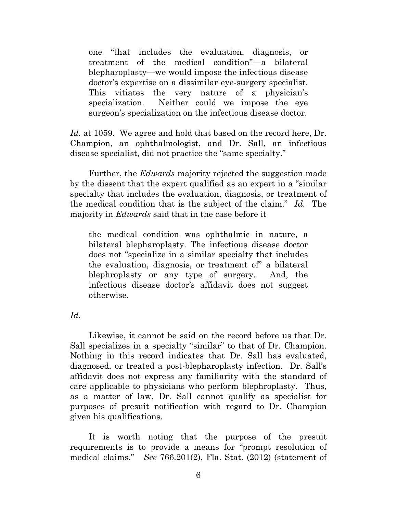one "that includes the evaluation, diagnosis, or treatment of the medical condition"—a bilateral blepharoplasty—we would impose the infectious disease doctor's expertise on a dissimilar eye-surgery specialist. This vitiates the very nature of a physician's specialization. Neither could we impose the eye surgeon's specialization on the infectious disease doctor.

*Id.* at 1059. We agree and hold that based on the record here, Dr. Champion, an ophthalmologist, and Dr. Sall, an infectious disease specialist, did not practice the "same specialty."

 Further, the *Edwards* majority rejected the suggestion made by the dissent that the expert qualified as an expert in a "similar specialty that includes the evaluation, diagnosis, or treatment of the medical condition that is the subject of the claim." *Id.* The majority in *Edwards* said that in the case before it

the medical condition was ophthalmic in nature, a bilateral blepharoplasty. The infectious disease doctor does not "specialize in a similar specialty that includes the evaluation, diagnosis, or treatment of" a bilateral blephroplasty or any type of surgery. And, the infectious disease doctor's affidavit does not suggest otherwise.

*Id.* 

 Likewise, it cannot be said on the record before us that Dr. Sall specializes in a specialty "similar" to that of Dr. Champion. Nothing in this record indicates that Dr. Sall has evaluated, diagnosed, or treated a post-blepharoplasty infection. Dr. Sall's affidavit does not express any familiarity with the standard of care applicable to physicians who perform blephroplasty. Thus, as a matter of law, Dr. Sall cannot qualify as specialist for purposes of presuit notification with regard to Dr. Champion given his qualifications.

 It is worth noting that the purpose of the presuit requirements is to provide a means for "prompt resolution of medical claims." *See* 766.201(2), Fla. Stat. (2012) (statement of